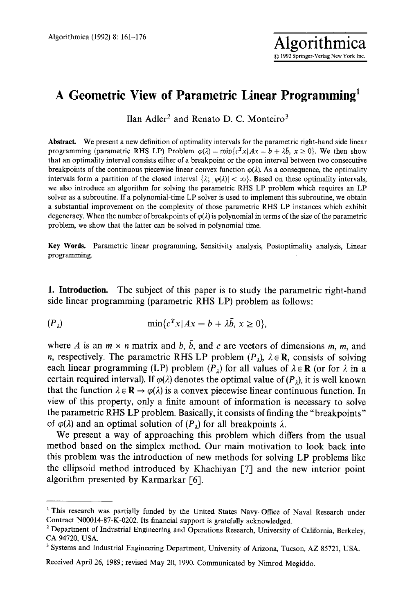## **A Geometric View of Parametric Linear Programming 1**

Ilan Adler<sup>2</sup> and Renato D. C. Monteiro<sup>3</sup>

**Abstract.** We present a new definition of optimality intervals for the parametric right-hand side linear programming (parametric RHS LP) Problem  $\varphi(\lambda) = \min\{c^T x | Ax = b + \lambda \overline{b}, x \ge 0\}$ . We then show that an optimality interval consists eifher of a breakpoint or the open interval between two consecutive breakpoints of the continuous piecewise linear convex function  $\varphi(\lambda)$ . As a consequence, the optimality intervals form a partition of the closed interval  $\{\lambda; |\varphi(\lambda)| < \infty\}$ . Based on these optimality intervals, we also introduce an algorithm for solving the parametric RHS LP problem which requires an LP solver as a subroutine. If a polynomial-time LP solver is used to implement this subroutine, we obtain a substantial improvement on the complexity of those parametric RHS LP instances which exhibit degeneracy. When the number of breakpoints of  $\varphi(\lambda)$  is polynomial in terms of the size of the parametric problem, we show that the latter can be solved in polynomial time.

Key Words. Parametric linear programming, Sensitivity analysis, Postoptimality analysis, Linear programming.

1. Introduction. The subject of this paper is to study the parametric right-hand side linear programming (parametric RHS LP) problem as follows:

$$
(P_{\lambda}) \quad \min\{c^T x \mid Ax = b + \lambda \bar{b}, \, x \ge 0\},
$$

where A is an  $m \times n$  matrix and b,  $\bar{b}$ , and c are vectors of dimensions m, m, and n, respectively. The parametric RHS LP problem  $(P_{\lambda})$ ,  $\lambda \in \mathbb{R}$ , consists of solving each linear programming (LP) problem  $(P_1)$  for all values of  $\lambda \in \mathbb{R}$  (or for  $\lambda$  in a certain required interval). If  $\varphi(\lambda)$  denotes the optimal value of (P<sub>i</sub>), it is well known that the function  $\lambda \in \mathbf{R} \to \varphi(\lambda)$  is a convex piecewise linear continuous function. In view of this property, only a finite amount of information is necessary to solve the parametric RHS LP problem. Basically, it consists of finding the "breakpoints" of  $\varphi(\lambda)$  and an optimal solution of  $(P_{\lambda})$  for all breakpoints  $\lambda$ .

We present a way of approaching this problem which differs from the usual method based on the simplex method. Our main motivation to look back into this problem was the introduction of new methods for solving LP problems like the ellipsoid method introduced by Khachiyan [7] and the new interior point algorithm presented by Karmarkar [6].

<sup>&</sup>lt;sup>1</sup> This research was partially funded by the United States Navy-Office of Naval Research under Contract N00014-87-K-0202. Its financial support is gratefully acknowledged.

<sup>&</sup>lt;sup>2</sup> Department of Industrial Engineering and Operations Research, University of California, Berkeley, CA 94720, USA.

<sup>3</sup> Systems and Industrial Engineering Department, University of Arizona, Tucson, AZ 85721, USA.

Received April 26, 1989; revised May 20, 1990. Communicated by Nimrod Megiddo.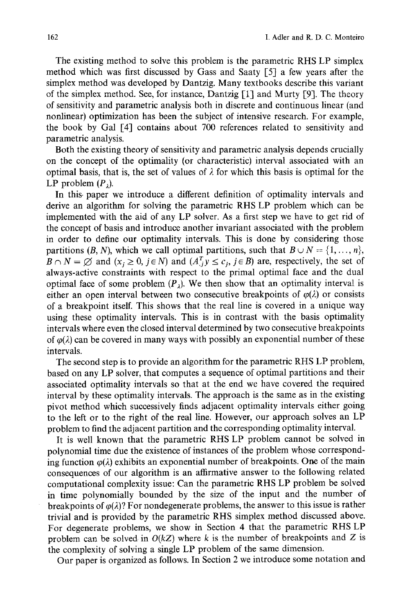The existing method to solve this problem is the parametric RHS LP simplex method which was first discussed by Gass and Saaty [5] a few years after the simplex method was developed by Dantzig. Many textbooks describe this variant of the simplex method. See, for instance, Dantzig [1] and Murty [9]. The theory of sensitivity and parametric analysis both in discrete and continuous linear (and nonlinear) optimization has been the subject of intensive research. For example, the book by Gal E4] contains about 700 references related to sensitivity and parametric analysis.

Both the existing theory of sensitivity and parametric analysis depends crucially on the concept of the optimality (or characteristic) interval associated with an optimal basis, that is, the set of values of  $\lambda$  for which this basis is optimal for the LP problem  $(P_2)$ .

In this- paper we introduce a different definition of optimality intervals and derive an algorithm for solving the parametric RHS LP problem which can be implemented with the aid of any LP solver. As a first step we have to get rid of the concept of basis and introduce another invariant associated with the problem in order to define our optimality intervals. This is done by considering those partitions  $(B, N)$ , which we call optimal partitions, such that  $B \cup N = \{1, ..., n\}$ ,  $B \cap N = \emptyset$  and  $(x_i \geq 0, j \in N)$  and  $(A_{i}^{T}y \leq c_i, j \in B)$  are, respectively, the set of always-active constraints with respect to the primal optimal face and the dual optimal face of some problem  $(P_1)$ . We then show that an optimality interval is either an open interval between two consecutive breakpoints of  $\varphi(\lambda)$  or consists of a breakpoint itself. This shows that the real line is covered in a unique way using these optimality intervals. This is in contrast with the basis optimality intervals where even the closed interval determined by two consecutive breakpoints of  $\varphi(\lambda)$  can be covered in many ways with possibly an exponential number of these intervals.

The second step is to provide an algorithm for the parametric RHS LP problem, based on any LP solver, that computes a sequence of optimal partitions and their associated optimality intervals so that at the end we have covered the required interval by these optimality intervals. The approach is the same as in the existing pivot method which successively finds adjacent optimality intervals either going to the left or to the right of the real line. However, our approach solves an LP problem to find the adjacent partition and the corresponding optimality interval.

It is well known that the parametric RHS LP problem cannot be solved in polynomial time due the existence of instances of the problem whose corresponding function  $\varphi(\lambda)$  exhibits an exponential number of breakpoints. One of the main consequences of our algorithm is an affirmative answer to the following related computational complexity issue: Can the parametric RHS LP problem be solved in time polynomially bounded by the size of the input and the number of breakpoints of  $\varphi(\lambda)$ ? For nondegenerate problems, the answer to this issue is rather trivial and is provided by the parametric RHS simplex method discussed above. For degenerate problems, we show in Section 4 that the parametric RHS LP problem can be solved in  $O(kZ)$  where k is the number of breakpoints and Z is the complexity of solving a single LP problem of the same dimension.

Our paper is organized as follows. In Section 2 we introduce some notation and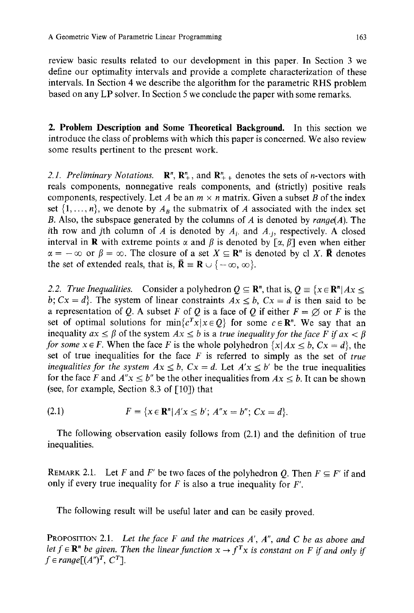review basic results related to our development in this paper. In Section 3 we define our optimality intervals and provide a complete characterization of these intervals. In Section 4 we describe the algorithm for the parametric RHS problem based on any LP solver. In Section 5 we conclude the paper with some remarks.

2. Problem Description and Some **Theoretical Background.** In this section we introduce the class of problems with which this paper is concerned. We also review some results pertinent to the present work.

2.1. Preliminary Notations.  $\mathbb{R}^n$ ,  $\mathbb{R}^n_+$ , and  $\mathbb{R}^n_{++}$  denotes the sets of n-vectors with reals components, nonnegative reals components, and (strictly) positive reals components, respectively. Let A be an  $m \times n$  matrix. Given a subset B of the index set  $\{1, \ldots, n\}$ , we denote by  $A_B$  the submatrix of A associated with the index set B. Also, the subspace generated by the columns of A is denoted by *range(A).* The ith row and jth column of A is denoted by  $A_i$ , and  $A_i$ , respectively. A closed interval in **R** with extreme points  $\alpha$  and  $\beta$  is denoted by  $\lceil \alpha, \beta \rceil$  even when either  $\alpha = -\infty$  or  $\beta = \infty$ . The closure of a set  $X \subseteq \mathbb{R}^n$  is denoted by cl X. **R** denotes the set of extended reals, that is,  $\bar{\mathbf{R}} \equiv \mathbf{R} \cup \{-\infty, \infty\}.$ 

2.2. *True Inequalities.* Consider a polyhedron  $Q \subseteq \mathbb{R}^n$ , that is,  $Q \equiv \{x \in \mathbb{R}^n | Ax \leq$ *b; Cx = d*}. The system of linear constraints  $Ax \leq b$ ,  $Cx = d$  is then said to be a representation of Q. A subset F of Q is a face of Q if either  $F = \emptyset$  or F is the set of optimal solutions for  $\min\{c^T x | x \in Q\}$  for some  $c \in \mathbb{R}^n$ . We say that an inequality  $ax \leq \beta$  of the system  $Ax \leq b$  is a *true inequality for the face F if*  $ax < \beta$ *for some*  $x \in F$ *. When the face F is the whole polyhedron*  $\{x | Ax \leq b, Cx = d\}$ *, the* set of true inequalities for the face F is referred to simply as the set of *true inequalities for the system*  $Ax \leq b$ *,*  $Cx = d$ *. Let*  $A'x \leq b'$  *be the true inequalities* for the face F and  $A''x \leq b''$  be the other inequalities from  $Ax \leq b$ . It can be shown (see, for example, Section 8.3 of  $[10]$ ) that

(2.1) 
$$
F = \{x \in \mathbb{R}^n | A'x \le b'; A''x = b''; Cx = d\}.
$$

The following observation easily follows from (2.1) and the definition of true inequalities.

REMARK 2.1. Let F and F' be two faces of the polyhedron Q. Then  $F \subseteq F'$  if and only if every true inequality for  $F$  is also a true inequality for  $F'$ .

The following result will be useful later and can be easily proved.

PROPOSITION 2.1. *Let the face F and the matrices A', A', and C be as above and let*  $f \in \mathbb{R}^n$  *be given. Then the linear function*  $x \to f^T x$  *is constant on* F *if and only if*  $f \in range[(A'')^T, C^T]$ .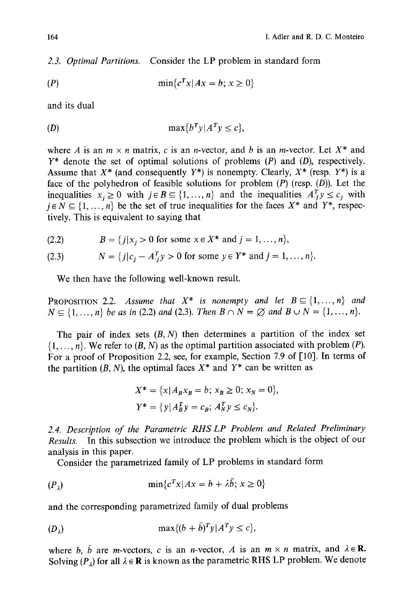*2.3. Optimal Partitions.* Consider the LP problem in standard form

$$
(P) \qquad \qquad \min\{c^T x | Ax = b; \, x \ge 0\}
$$

and its dual

$$
(D) \qquad \qquad \max\{b^T y | A^T y \le c\},
$$

where A is an  $m \times n$  matrix, c is an n-vector, and b is an m-vector. Let  $X^*$  and  $Y^*$  denote the set of optimal solutions of problems  $(P)$  and  $(D)$ , respectively. Assume that  $X^*$  (and consequently  $Y^*$ ) is nonempty. Clearly,  $X^*$  (resp.  $Y^*$ ) is a face of the polyhedron of feasible solutions for problem  $(P)$  (resp.  $(D)$ ). Let the inequalities  $x_i \geq 0$  with  $j \in B \subseteq \{1, ..., n\}$  and the inequalities  $A_j^T y \leq c_j$  with  $j \in N \subseteq \{1, ..., n\}$  be the set of true inequalities for the faces  $X^*$  and  $Y^*$ , respectively. This is equivalent to saying that

(2.2)  $B = \{j | x_j > 0 \text{ for some } x \in X^* \text{ and } j = 1, ..., n\},\$ 

(2.3) 
$$
N = \{j | c_j - A_{ij}^T y > 0 \text{ for some } y \in Y^* \text{ and } j = 1, ..., n\}.
$$

We then have the following well-known result.

**PROPOSITION 2.2.** Assume that  $X^*$  is nonempty and let  $B \subseteq \{1, ..., n\}$  and  $N \subseteq \{1, ..., n\}$  be as in (2.2) and (2.3). Then  $B \cap N = \emptyset$  and  $B \cup N = \{1, ..., n\}$ .

The pair of index sets  $(B, N)$  then determines a partition of the index set  $\{1, \ldots, n\}$ . We refer to  $(B, N)$  as the optimal partition associated with problem  $(P)$ . For a proof of Proposition 2.2, see, for example, Section 7.9 of [10]. In terms of the partition  $(B, N)$ , the optimal faces  $X^*$  and  $Y^*$  can be written as

$$
X^* = \{x | A_B x_B = b; x_B \ge 0; x_N = 0\},\
$$
  

$$
Y^* = \{y | A_B^T y = c_B; A_N^T y \le c_N\}.
$$

*2.4. Description of the Parametric RHS LP Problem and Related Preliminary Results.* In this subsection we introduce the problem which is the object of our analysis in this paper.

Consider the parametrized family of LP problems in standard form

$$
(P_{\lambda}) \qquad \qquad \min\{c^T x | Ax = b + \lambda \bar{b}; \, x \ge 0\}
$$

and the corresponding parametrized family of dual problems

$$
(D_{\lambda}) \qquad \qquad \max\{ (b+\bar{b})^T y | A^T y \le c \},
$$

where b,  $\bar{b}$  are m-vectors, c is an n-vector, A is an  $m \times n$  matrix, and  $\lambda \in \mathbb{R}$ . Solving  $(P_{\lambda})$  for all  $\lambda \in \mathbb{R}$  is known as the parametric RHS LP problem. We denote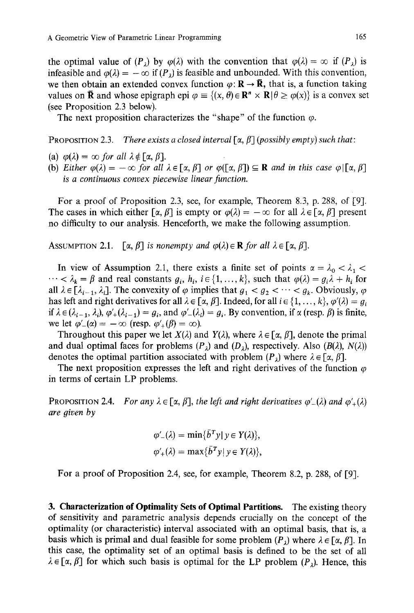the optimal value of  $(P_2)$  by  $\varphi(\lambda)$  with the convention that  $\varphi(\lambda) = \infty$  if  $(P_\lambda)$  is infeasible and  $\varphi(\lambda) = -\infty$  if  $(P_{\lambda})$  is feasible and unbounded. With this convention, we then obtain an extended convex function  $\varphi: \mathbf{R} \to \bar{\mathbf{R}}$ , that is, a function taking values on **R** and whose epigraph epi  $\varphi = \{(x, \theta) \in \mathbb{R}^n \times \mathbb{R} | \theta \ge \varphi(x)\}\)$  is a convex set (see Proposition 2.3 below).

The next proposition characterizes the "shape" of the function  $\varphi$ .

PROPOSITION 2.3. *There exists a closed interval*  $[\alpha, \beta]$  (*possibly empty*) such that:

- (a)  $\varphi(\lambda) = \infty$  *for all*  $\lambda \notin [\alpha, \beta]$ .
- (b) *Either*  $\varphi(\lambda) = -\infty$  *for all*  $\lambda \in [\alpha, \beta]$  *or*  $\varphi([\alpha, \beta]) \subseteq \mathbf{R}$  *and in this case*  $\varphi | [\alpha, \beta]$ *is a continuous convex piecewise linear function.*

For a proof of Proposition 2.3, see, for example, Theorem 8.3, p. 288, of [9]. The cases in which either  $[\alpha, \beta]$  is empty or  $\varphi(\lambda) = -\infty$  for all  $\lambda \in [\alpha, \beta]$  present no difficulty to our analysis. Henceforth, we make the following assumption.

ASSUMPTION 2.1.  $\lceil \alpha, \beta \rceil$  *is nonempty and*  $\varphi(\lambda) \in \mathbf{R}$  *for all*  $\lambda \in \lceil \alpha, \beta \rceil$ *.* 

In view of Assumption 2.1, there exists a finite set of points  $\alpha = \lambda_0 < \lambda_1 <$  $\cdots < \lambda_k = \beta$  and real constants  $g_i, h_i, i \in \{1, ..., k\}$ , such that  $\varphi(\lambda) = g_i \lambda + h_i$  for all  $\lambda \in [\lambda_{i-1}, \lambda_i]$ . The convexity of  $\varphi$  implies that  $g_1 < g_2 < \cdots < g_k$ . Obviously,  $\varphi$ has left and right derivatives for all  $\lambda \in [\alpha, \beta]$ . Indeed, for all  $i \in \{1, ..., k\}, \varphi'(\lambda) = g_i$ if  $\lambda \in (\lambda_{i-1}, \lambda_i)$ ,  $\varphi'_+(\lambda_{i-1}) = g_i$ , and  $\varphi'_-(\lambda_i) = g_i$ . By convention, if  $\alpha$  (resp.  $\beta$ ) is finite, we let  $\varphi'_{-}(\alpha) = -\infty$  (resp.  $\varphi'_{+}(\beta) = \infty$ ).

Throughout this paper we let  $X(\lambda)$  and  $Y(\lambda)$ , where  $\lambda \in [\alpha, \beta]$ , denote the primal and dual optimal faces for problems  $(P_{\lambda})$  and  $(D_{\lambda})$ , respectively. Also  $(B(\lambda), N(\lambda))$ denotes the optimal partition associated with problem  $(P_1)$  where  $\lambda \in [\alpha, \beta]$ .

The next proposition expresses the left and right derivatives of the function  $\varphi$ in terms of certain LP problems.

**PROPOSITION 2.4.** *For any*  $\lambda \in [\alpha, \beta]$ , the left and right derivatives  $\varphi'_{-}(\lambda)$  and  $\varphi'_{+}(\lambda)$ *are given by* 

$$
\varphi'_{-}(\lambda) = \min\{\bar{b}^T y \mid y \in Y(\lambda)\},
$$
  

$$
\varphi'_{+}(\lambda) = \max\{\bar{b}^T y \mid y \in Y(\lambda)\},
$$

For a proof of Proposition 2.4, see, for example, Theorem 8.2, p. 288, of [9].

3. **Characterization of Optimality Sets of Optimal Partitions.** The existing theory of sensitivity and parametric analysis depends crucially on the concept of the optimality (or characteristic) interval associated with an optimal basis, that is, a basis which is primal and dual feasible for some problem  $(P_1)$  where  $\lambda \in [\alpha, \beta]$ . In this case, the optimality set of an optimal basis is defined to be the set of all  $\lambda \in [\alpha, \beta]$  for which such basis is optimal for the LP problem  $(P_1)$ . Hence, this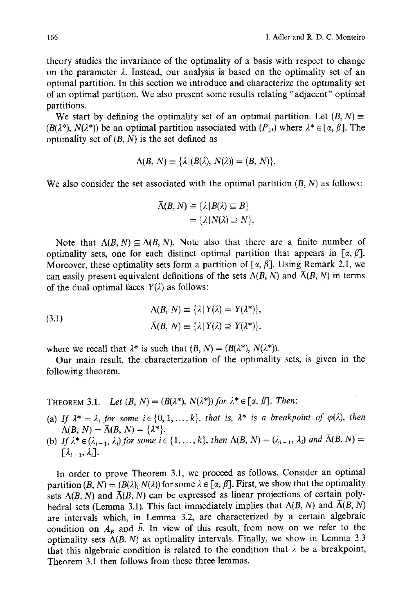theory studies the invariance of the optimality of a basis with respect to change on the parameter  $\lambda$ . Instead, our analysis is based on the optimality set of an optimal partition. In this section we introduce and characterize the optimality set of an optimal partition. We also present some results relating "adjacent" optimal partitions.

We start by defining the optimality set of an optimal partition. Let  $(B, N) \equiv$  $(B(\lambda^*), N(\lambda^*))$  be an optimal partition associated with  $(P_{\lambda^*})$  where  $\lambda^* \in [\alpha, \beta]$ . The optimality set of  $(B, N)$  is the set defined as

$$
\Lambda(B, N) \equiv {\lambda | (B(\lambda), N(\lambda)) = (B, N)}.
$$

We also consider the set associated with the optimal partition  $(B, N)$  as follows:

$$
\overline{\Lambda}(B,N) \equiv \{\lambda | B(\lambda) \subseteq B\} \\
= \{\lambda | N(\lambda) \supseteq N\}.
$$

Note that  $\Lambda(B, N) \subseteq \overline{\Lambda}(B, N)$ . Note also that there are a finite number of optimality sets, one for each distinct optimal partition that appears in  $[\alpha, \beta]$ . Moreover, these optimality sets form a partition of  $\lceil \alpha, \beta \rceil$ . Using Remark 2.1, we can easily present equivalent definitions of the sets  $\Lambda(B, N)$  and  $\overline{\Lambda}(B, N)$  in terms of the dual optimal faces  $Y(\lambda)$  as follows:

(3.1)  
\n
$$
\Lambda(B, N) \equiv \{\lambda | Y(\lambda) = Y(\lambda^*)\},
$$
\n
$$
\bar{\Lambda}(B, N) \equiv \{\lambda | Y(\lambda) \supseteq Y(\lambda^*)\},
$$

where we recall that  $\lambda^*$  is such that  $(B, N) = (B(\lambda^*), N(\lambda^*))$ .

Our main result, the characterization of the optimality sets, is given in the following theorem.

THEOREM 3.1. *Let*  $(B, N) = (B(\lambda^*), N(\lambda^*))$  for  $\lambda^* \in [\alpha, \beta]$ . *Then:* 

- (a) If  $\lambda^* = \lambda_i$  for some  $i \in \{0, 1, ..., k\}$ , that is,  $\lambda^*$  is a breakpoint of  $\varphi(\lambda)$ , then  $\Lambda(B, N) = \overline{\Lambda}(B, N) = \{\lambda^*\}.$
- (b) If  $\lambda^* \in (\lambda_{i-1}, \lambda_i)$  for some  $i \in \{1, ..., k\}$ , then  $\Lambda(B, N) = (\lambda_{i-1}, \lambda_i)$  and  $\overline{\Lambda}(B, N) =$  $[\lambda_{i-1}, \lambda_i].$

In order to prove Theorem 3.1, we proceed as follows. Consider an optimal partition  $(B, N) = (B(\lambda), N(\lambda))$  for some  $\lambda \in [\alpha, \beta]$ . First, we show that the optimality sets  $\Lambda(B, N)$  and  $\overline{\Lambda}(B, N)$  can be expressed as linear projections of certain polyhedral sets (Lemma 3.1). This fact immediately implies that  $\Lambda(B, N)$  and  $\overline{\Lambda}(B, N)$ are intervals which, in Lemma 3.2, are characterized by a certain algebraic condition on  $A_B$  and  $\bar{b}$ . In view of this result, from now on we refer to the optimality sets  $\Lambda(B, N)$  as optimality intervals. Finally, we show in Lemma 3.3 that this algebraic condition is related to the condition that  $\lambda$  be a breakpoint, Theorem 3.1 then follows from these three lemmas.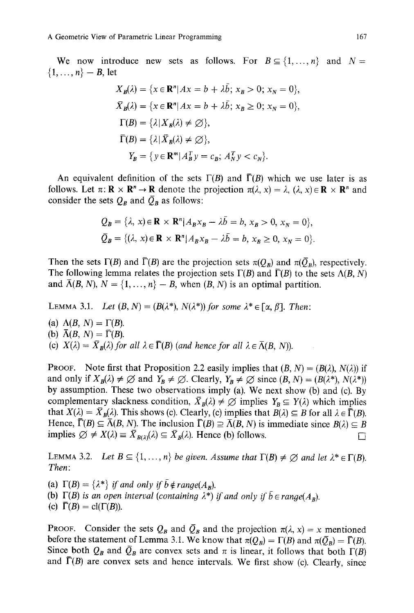We now introduce new sets as follows. For  $B \subseteq \{1,\ldots,n\}$  and  $N=$  $\{1, ..., n\} - B$ , let

$$
X_B(\lambda) = \{x \in \mathbb{R}^n | Ax = b + \lambda \overline{b}; x_B > 0; x_N = 0\},\
$$
  

$$
\overline{X}_B(\lambda) = \{x \in \mathbb{R}^n | Ax = b + \lambda \overline{b}; x_B \ge 0; x_N = 0\},\
$$
  

$$
\Gamma(B) = \{\lambda | X_B(\lambda) \ne \emptyset\},\
$$
  

$$
\overline{\Gamma}(B) = \{\lambda | \overline{X}_B(\lambda) \ne \emptyset\},\
$$
  

$$
Y_B = \{y \in \mathbb{R}^m | A_B^T y = c_B; A_N^T y < c_N\}.
$$

An equivalent definition of the sets  $\Gamma(B)$  and  $\overline{\Gamma}(B)$  which we use later is as follows. Let  $\pi: \mathbf{R} \times \mathbf{R}^n \to \mathbf{R}$  denote the projection  $\pi(\lambda, x) = \lambda$ ,  $(\lambda, x) \in \mathbf{R} \times \mathbf{R}^n$  and consider the sets  $Q_B$  and  $\overline{Q}_B$  as follows:

$$
Q_B = \{\lambda, x\} \in \mathbf{R} \times \mathbf{R}^n | A_B x_B - \lambda \overline{b} = b, x_B > 0, x_N = 0\},
$$
  

$$
\overline{Q}_B = \{(\lambda, x) \in \mathbf{R} \times \mathbf{R}^n | A_B x_B - \lambda \overline{b} = b, x_B \ge 0, x_N = 0\}.
$$

Then the sets  $\Gamma(B)$  and  $\overline{\Gamma}(B)$  are the projection sets  $\pi(Q_B)$  and  $\pi(\overline{Q}_B)$ , respectively. The following lemma relates the projection sets  $\Gamma(B)$  and  $\overline{\Gamma}(B)$  to the sets  $\Lambda(B, N)$ and  $\bar{\Lambda}(B, N)$ ,  $N = \{1, ..., n\} - B$ , when  $(B, N)$  is an optimal partition.

LEMMA 3.1. *Let*  $(B, N) = (B(\lambda^*), N(\lambda^*))$  for some  $\lambda^* \in [\alpha, \beta]$ . *Then:* 

(a)  $\Lambda(B, N) = \Gamma(B)$ . (b)  $\overline{\Lambda}(B, N) = \overline{\Gamma}(B)$ . (c)  $X(\lambda) = \overline{X}_B(\lambda)$  for all  $\lambda \in \overline{\Gamma}(B)$  (and hence for all  $\lambda \in \overline{\Lambda}(B, N)$ ).

**PROOF.** Note first that Proposition 2.2 easily implies that  $(B, N) = (B(\lambda), N(\lambda))$  if and only if  $X_B(\lambda) \neq \emptyset$  and  $Y_B \neq \emptyset$ . Clearly,  $Y_B \neq \emptyset$  since  $(B, N) = (B(\lambda^*), N(\lambda^*))$ by assumption. These two observations imply (a). We next show (b) and (c). By complementary slackness condition,  $\bar{X}_B(\lambda) \neq \emptyset$  implies  $Y_B \subseteq Y(\lambda)$  which implies that  $X(\lambda) = \overline{X}_B(\lambda)$ . This shows (c). Clearly, (c) implies that  $B(\lambda) \subseteq B$  for all  $\lambda \in \overline{\Gamma}(B)$ . Hence,  $\overline{\Gamma}(B) \subseteq \overline{\Lambda}(B, N)$ . The inclusion  $\overline{\Gamma}(B) \supseteq \overline{\Lambda}(B, N)$  is immediate since  $B(\lambda) \subseteq B$ implies  $\emptyset \neq X(\lambda) \equiv \overline{X}_{B(\lambda)}(\lambda) \subseteq \overline{X}_{B}(\lambda)$ . Hence (b) follows.

LEMMA 3.2. *Let*  $B \subseteq \{1, ..., n\}$  *be given. Assume that*  $\Gamma(B) \neq \emptyset$  *and let*  $\lambda^* \in \Gamma(B)$ . *Then:* 

(a)  $\Gamma(B) = \{\lambda^*\}\$  *if and only if*  $\overline{b} \notin range(A_B)$ . (b)  $\Gamma(B)$  *is an open interval (containing*  $\lambda^*$ *) if and only if*  $\overline{b} \in \text{range}(A_p)$ *.* (c)  $\Gamma(B) = \text{cl}(\Gamma(B)).$ 

**PROOF.** Consider the sets  $Q_B$  and  $\overline{Q}_B$  and the projection  $\pi(\lambda, x) = x$  mentioned before the statement of Lemma 3.1. We know that  $\pi(Q_B) = \Gamma(B)$  and  $\pi(\bar{Q}_B) = \bar{\Gamma}(B)$ . Since both  $Q_B$  and  $\overline{Q}_B$  are convex sets and  $\pi$  is linear, it follows that both  $\Gamma(B)$ and  $\Gamma(B)$  are convex sets and hence intervals. We first show (c). Clearly, since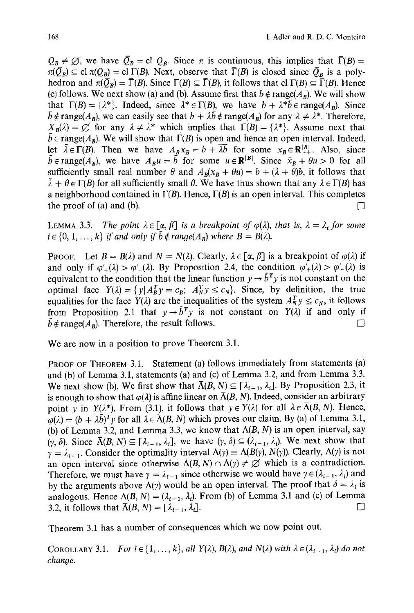$Q_B \neq \emptyset$ , we have  $\overline{Q}_B =$  cl  $Q_B$ . Since  $\pi$  is continuous, this implies that  $\overline{\Gamma}(B)$  =  $\pi(\overline{Q}_R) \subseteq \text{cl }\pi(Q_R) = \text{cl }\Gamma(B)$ . Next, observe that  $\overline{\Gamma}(B)$  is closed since  $\overline{Q}_R$  is a polyhedron and  $\pi(\bar{O}_B) = \bar{\Gamma}(B)$ . Since  $\Gamma(B) \subseteq \bar{\Gamma}(B)$ , it follows that cl  $\Gamma(B) \subseteq \bar{\Gamma}(B)$ . Hence (c) follows. We next show (a) and (b). Assume first that  $\bar{b} \notin \text{range}(A_B)$ . We will show that  $\Gamma(B) = \{\lambda^*\}\$ . Indeed, since  $\lambda^* \in \Gamma(B)$ , we have  $b + \lambda^* \overline{b} \in \text{range}(A_B)$ . Since  $\bar{b} \notin \text{range}(A_{\text{B}})$ , we can easily see that  $b + \lambda \bar{b} \notin \text{range}(A_{\text{B}})$  for any  $\lambda \neq \lambda^*$ . Therefore,  $X_B(\lambda) = \emptyset$  for any  $\lambda \neq \lambda^*$  which implies that  $\Gamma(B) = {\lambda^*}$ . Assume next that  $\bar{b} \in \text{range}(A_R)$ . We will show that  $\Gamma(B)$  is open and hence an open interval. Indeed, let  $\lambda \in \Gamma(B)$ . Then we have  $A_Bx_B = b + \lambda b$  for some  $x_B \in \mathbb{R}^{|B|+1}_{++}$ . Also, since b  $\epsilon$  range( $A_B$ ), we have  $A_B u = b$  for some  $u \in \mathbb{R}^{|D|}$ . Since  $\bar{x}_B + \theta u > 0$  for all sufficiently small real number  $\theta$  and  $A_R(x_R + \theta u) = b + (\bar{\lambda} + \theta)\bar{b}$ , it follows that  $\lambda + \theta \in \Gamma(B)$  for all sufficiently small  $\theta$ . We have thus shown that any  $\lambda \in \Gamma(B)$  has a neighborhood contained in  $\Gamma(B)$ . Hence,  $\Gamma(B)$  is an open interval. This completes the proof of (a) and (b).  $\Box$ 

LEMMA 3.3. *The point*  $\lambda \in [\alpha, \beta]$  is a breakpoint of  $\varphi(\lambda)$ , that is,  $\lambda = \lambda_i$  for some  $i \in \{0, 1, ..., k\}$  *if and only if*  $\bar{b} \notin range(A_B)$  where  $B = B(\lambda)$ .

**PROOF.** Let  $B = B(\lambda)$  and  $N = N(\lambda)$ . Clearly,  $\lambda \in [\alpha, \beta]$  is a breakpoint of  $\varphi(\lambda)$  if and only if  $\varphi'_{+}(\lambda) > \varphi'_{-}(\lambda)$ . By Proposition 2.4, the condition  $\varphi'_{+}(\lambda) > \varphi'_{-}(\lambda)$  is equivalent to the condition that the linear function  $y \rightarrow \bar{b}^T y$  is not constant on the optimal face  $Y(\lambda) = \{y | A_B^T y = c_B; A_N^T y \le c_N\}$ . Since, by definition, the true equalities for the face  $Y(\lambda)$  are the inequalities of the system  $A_N^T y \leq c_N$ , it follows from Proposition 2.1 that  $y \rightarrow \bar{b}^T y$  is not constant on  $Y(\lambda)$  if and only if  $\bar{b} \notin \text{range}(A_B)$ . Therefore, the result follows.  $\Box$ 

We are now in a position to prove Theorem 3.1.

PROOF OF THEOREM 3.1. Statement (a) follows immediately from statements (a) and (b) of Lemma 3.1, statements (a) and (c) of Lemma 3.2, and from Lemma 3.3. We next show (b). We first show that  $\bar{\Lambda}(B, N) \subseteq [\lambda_{i-1}, \lambda_i]$ . By Proposition 2.3, it is enough to show that  $\varphi(\lambda)$  is affine linear on  $\overline{\Lambda}(B, N)$ . Indeed, consider an arbitrary point y in  $Y(\lambda^*)$ . From (3.1), it follows that  $y \in Y(\lambda)$  for all  $\lambda \in \overline{\Lambda}(B, N)$ . Hence,  $\varphi(\lambda) = (b + \lambda \bar{b})^T y$  for all  $\lambda \in \bar{\Lambda}(B, N)$  which proves our claim. By (a) of Lemma 3.1, (b) of Lemma 3.2, and Lemma 3.3, we know that  $\Lambda(B, N)$  is an open interval, say  $(\gamma, \delta)$ . Since  $\overline{\Lambda}(B, N) \subseteq [\lambda_{i-1}, \lambda_i]$ , we have  $(\gamma, \delta) \subseteq (\lambda_{i-1}, \lambda_i)$ . We next show that  $\gamma = \lambda_{i-1}$ . Consider the optimality interval  $\Lambda(\gamma) \equiv \Lambda(B(\gamma), N(\gamma))$ . Clearly,  $\Lambda(\gamma)$  is not an open interval since otherwise  $\Lambda(B, N) \cap \Lambda(\gamma) \neq \emptyset$  which is a contradiction. Therefore, we must have  $\gamma = \lambda_{i-1}$  since otherwise we would have  $\gamma \in (\lambda_{i-1}, \lambda_i)$  and by the arguments above  $\Lambda(\gamma)$  would be an open interval. The proof that  $\delta = \lambda_i$  is analogous. Hence  $\Lambda(B, N) = (\lambda_{i-1}, \lambda_i)$ . From (b) of Lemma 3.1 and (c) of Lemma 3.2, it follows that  $\overline{\Lambda}(B, N) = [\lambda_{i-1}, \lambda_i].$ 

Theorem 3.1 has a number of consequences which we now point out.

COROLLARY 3.1. *For i*  $\in$  {1, ..., k}, all  $Y(\lambda)$ ,  $B(\lambda)$ , and  $N(\lambda)$  with  $\lambda \in (\lambda_{i-1}, \lambda_i)$  do not *change.*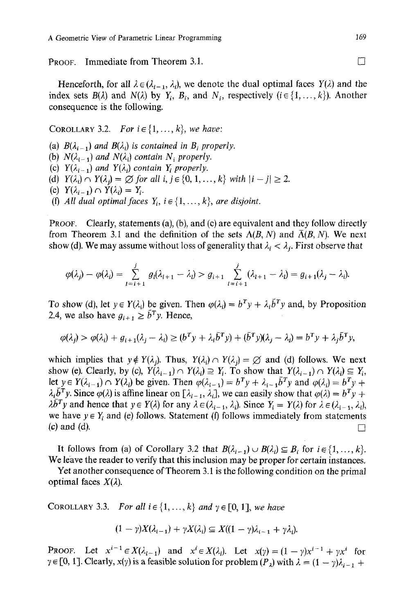**PROOF.** Immediate from Theorem 3.1.  $\Box$ 

Henceforth, for all  $\lambda \in (\lambda_{i-1}, \lambda_i)$ , we denote the dual optimal faces  $Y(\lambda)$  and the index sets  $B(\lambda)$  and  $N(\lambda)$  by  $Y_i$ ,  $B_i$ , and  $N_i$ , respectively ( $i \in \{1, ..., k\}$ ). Another consequence is the following.

## COROLLARY 3.2. *For*  $i \in \{1, ..., k\}$ , *we have:*

(a)  $B(\lambda_{i-1})$  and  $B(\lambda_i)$  is contained in  $B_i$  properly. (b)  $N(\lambda_{i-1})$  *and*  $N(\lambda_i)$  *contain*  $N_i$  *properly.* (c)  $Y(\lambda_{i-1})$  and  $Y(\lambda_i)$  contain  $Y_i$  properly. *(d)*  $Y(\lambda_i) \cap Y(\lambda_j) = \emptyset$  for all  $i, j \in \{0, 1, ..., k\}$  with  $|i - j| \geq 2$ . (e)  $Y(\lambda_{i-1}) \cap Y(\lambda_i) = Y_i$ . (f) All dual optimal faces  $Y_i$ ,  $i \in \{1, ..., k\}$ , are disjoint.

PROOF. Clearly, statements (a), (b), and (c) are equivalent and they follow directly from Theorem 3.1 and the definition of the sets  $\Lambda(B, N)$  and  $\overline{\Lambda}(B, N)$ . We next show (d). We may assume without loss of generality that  $\lambda_i < \lambda_j$ . First observe that

$$
\varphi(\lambda_j)-\varphi(\lambda_i)=\sum_{l=i+1}^j g_l(\lambda_{l+1}-\lambda_l)>g_{i+1}\sum_{l=i+1}^j(\lambda_{l+1}-\lambda_l)=g_{i+1}(\lambda_j-\lambda_i).
$$

To show (d), let  $y \in Y(\lambda_i)$  be given. Then  $\varphi(\lambda_i) = b^T y + \lambda_i \overline{b}^T y$  and, by Proposition 2.4, we also have  $g_{i+1} \geq \bar{b}^T y$ . Hence,

$$
\varphi(\lambda_j) > \varphi(\lambda_i) + g_{i+1}(\lambda_j - \lambda_i) \ge (b^T y + \lambda_i \bar{b}^T y) + (\bar{b}^T y)(\lambda_j - \lambda_i) = b^T y + \lambda_j \bar{b}^T y,
$$

which implies that  $y \notin Y(\lambda_i)$ . Thus,  $Y(\lambda_i) \cap Y(\lambda_i) = \emptyset$  and (d) follows. We next show (e). Clearly, by (c),  $Y(\lambda_{i-1}) \cap Y(\lambda_i) \supseteq Y_i$ . To show that  $Y(\lambda_{i-1}) \cap Y(\lambda_i) \subseteq Y_i$ , let  $y \in Y(\lambda_{i-1}) \cap Y(\lambda_i)$  be given. Then  $\varphi(\lambda_{i-1}) = b^T y + \lambda_{i-1} b^T y$  and  $\varphi(\lambda_i) = b^T y + b^T y$  $\lambda_i \bar{b}^T y$ . Since  $\varphi(\lambda)$  is affine linear on  $[\lambda_{i-1}, \lambda_i]$ , we can easily show that  $\varphi(\lambda) = b^T y + b^T y$  $\lambda \bar{b}^T y$  and hence that  $y \in Y(\lambda)$  for any  $\lambda \in (\lambda_{i-1}, \lambda_i)$ . Since  $Y_i = Y(\lambda)$  for  $\lambda \in (\lambda_{i-1}, \lambda_i)$ , we have  $y \in Y_i$  and (e) follows. Statement (f) follows immediately from statements (c) and (d).  $\Box$ 

It follows from (a) of Corollary 3.2 that  $B(\lambda_{i-1}) \cup B(\lambda_i) \subseteq B_i$  for  $i \in \{1, ..., k\}$ . We leave the reader to verify that this inclusion may be proper for certain instances.

Yet another consequence of Theorem 3.1 is the following condition on the primal optimal faces  $X(\lambda)$ .

COROLLARY 3.3. *For all*  $i \in \{1, ..., k\}$  *and*  $\gamma \in [0, 1]$ , *we have* 

$$
(1-\gamma)X(\lambda_{i-1})+\gamma X(\lambda_i)\subseteq X((1-\gamma)\lambda_{i-1}+\gamma\lambda_i).
$$

**PROOF.** Let  $x^{i-1} \in X(\lambda_{i-1})$  and  $x^i \in X(\lambda_i)$ . Let  $x(\gamma) = (1 - \gamma)x^{i-1} + \gamma x^i$  for  $\gamma \in [0, 1]$ . Clearly,  $x(\gamma)$  is a feasible solution for problem  $(P_{\lambda})$  with  $\lambda = (1 - \gamma)\lambda_{i-1} +$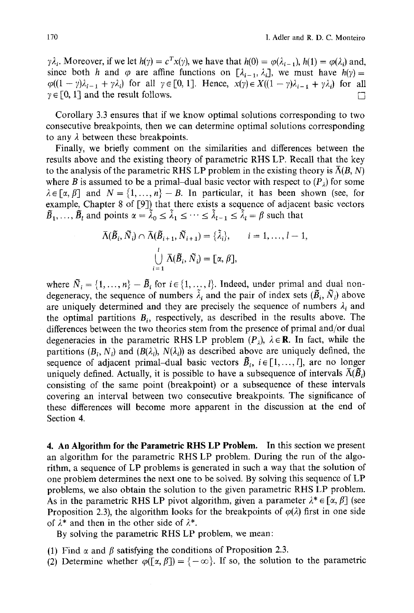$\gamma \lambda_i$ . Moreover, if we let  $h(\gamma) = c^T x(\gamma)$ , we have that  $h(0) = \varphi(\lambda_{i-1}), h(1) = \varphi(\lambda_i)$  and, since both h and  $\varphi$  are affine functions on  $[\lambda_{i-1}, \lambda_i]$ , we must have  $h(\gamma)$ =  $\varphi((1 - \gamma)\lambda_{i-1} + \gamma\lambda_i)$  for all  $\gamma \in [0, 1]$ . Hence,  $x(\gamma) \in X((1 - \gamma)\lambda_{i-1} + \gamma\lambda_i)$  for all  $\gamma \in [0, 1]$  and the result follows.

Corollary 3.3 ensures that if we know optimal solutions corresponding to two consecutive breakpoints, then we can determine optimal solutions corresponding to any  $\lambda$  between these breakpoints.

Finally, we briefly comment on the similarities and differences between the results above and the existing theory of parametric RHS LP. Recall that the key to the analysis of the parametric RHS LP problem in the existing theory is  $\overline{\Lambda}(B, N)$ where B is assumed to be a primal-dual basic vector with respect to  $(P_1)$  for some  $\lambda \in [\alpha, \beta]$  and  $N = \{1, ..., n\}-B$ . In particular, it has been shown (see, for example, Chapter 8 of  $[9]$ ) that there exists a sequence of adjacent basic vectors  $\tilde{B}_1, \ldots, \tilde{B}_l$  and points  $\alpha = \tilde{\lambda}_0 \leq \tilde{\lambda}_1 \leq \cdots \leq \tilde{\lambda}_{l-1} \leq \tilde{\lambda}_l = \beta$  such that

$$
\overline{\Lambda}(\widetilde{B}_i, \widetilde{N}_i) \cap \overline{\Lambda}(\widetilde{B}_{i+1}, \widetilde{N}_{i+1}) = {\tilde{\lambda}_i}, \qquad i = 1, ..., l-1,
$$
  

$$
\bigcup_{i=1}^l \overline{\Lambda}(\widetilde{B}_i, \widetilde{N}_i) = [\alpha, \beta],
$$

where  $\tilde{N}_i = \{1, ..., n\} - \tilde{B}_i$  for  $i \in \{1, ..., l\}$ . Indeed, under primal and dual nondegeneracy, the sequence of numbers  $\tilde{\lambda}_i$  and the pair of index sets  $(\tilde{B}_i, \tilde{N}_i)$  above are uniquely determined and they are precisely the sequence of numbers  $\lambda_i$  and the optimal partitions  $B_i$ , respectively, as described in the results above. The differences between the two theories stem from the presence of primal and/or dual degeneracies in the parametric RHS LP problem  $(P_1)$ ,  $\lambda \in \mathbb{R}$ . In fact, while the partitions  $(B_i, N_i)$  and  $(B(\lambda_i), N(\lambda_i))$  as described above are uniquely defined, the sequence of adjacent primal-dual basic vectors  $\tilde{B}_i$ ,  $i \in [1,...,l]$ , are no longer uniquely defined. Actually, it is possible to have a subsequence of intervals  $\bar{\Lambda}(\tilde{B})$ . consisting of the same point (breakpoint) or a subsequence of these intervals covering an interval between two consecutive breakpoints. The significance of these differences will become more apparent in the discussion at the end of Section 4.

4. An **Algorithm for the Parametric RHS LP Problem.** In this section we present an algorithm for the parametric RHS LP problem. During the run of the algorithm, a sequence of LP problems is generated in such a way that the solution of one problem determines the next one to be solved. By solving this sequence of LP problems, we also obtain the solution to the given parametric RHS LP problem. As in the parametric RHS LP pivot algorithm, given a parameter  $\lambda^* \in [\alpha, \beta]$  (see Proposition 2.3), the algorithm looks for the breakpoints of  $\varphi(\lambda)$  first in one side of  $\lambda^*$  and then in the other side of  $\lambda^*$ .

By solving the parametric RHS LP problem, we mean:

- (1) Find  $\alpha$  and  $\beta$  satisfying the conditions of Proposition 2.3.
- (2) Determine whether  $\varphi([\alpha, \beta]) = \{-\infty\}$ . If so, the solution to the parametric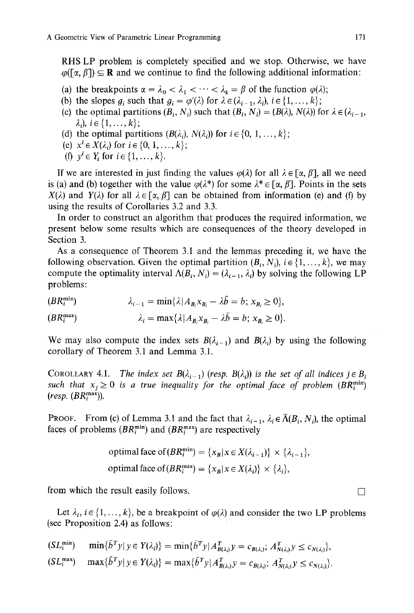RHS LP problem is completely specified and we stop. Otherwise, we have  $\varphi$ ([ $\alpha$ ,  $\beta$ ])  $\subseteq$  **R** and we continue to find the following additional information:

- (a) the breakpoints  $\alpha = \lambda_0 < \lambda_1 < \cdots < \lambda_k = \beta$  of the function  $\varphi(\lambda)$ ;
- (b) the slopes  $g_i$  such that  $g_i = \varphi(\lambda)$  for  $\lambda \in (\lambda_{i-1}, \lambda_i)$ ,  $i \in \{1, ..., k\}$ ;
- (c) the optimal partitions  $(B_i, N_i)$  such that  $(B_i, N_i) = (B(\lambda), N(\lambda))$  for  $\lambda \in (\lambda_{i-1},$  $\lambda_i, i \in \{1, ..., k\}$ ;
- (d) the optimal partitions  $(B(\lambda_i), N(\lambda_i))$  for  $i \in \{0, 1, ..., k\}$ ;
- (e)  $x^{i} \in X(\lambda_{i})$  for  $i \in \{0, 1, ..., k\};$
- *(f)*  $v^{i} \in Y$ *i* for  $i \in \{1, ..., k\}$ .

If we are interested in just finding the values  $\varphi(\lambda)$  for all  $\lambda \in [\alpha, \beta]$ , all we need is (a) and (b) together with the value  $\varphi(\lambda^*)$  for some  $\lambda^* \in [\alpha, \beta]$ . Points in the sets  $X(\lambda)$  and  $Y(\lambda)$  for all  $\lambda \in [\alpha, \beta]$  can be obtained from information (e) and (f) by using the results of Corollaries 3.2 and 3.3.

In order to construct an algorithm that produces the required information, we present below some results which are consequences of the theory developed in Section 3.

As a consequence of Theorem 3.1 and the lemmas preceding it, we have the following observation. Given the optimal partition  $(B_i, N_i)$ ,  $i \in \{1, ..., k\}$ , we may compute the optimality interval  $\Lambda(B_i, N_i) = (\lambda_{i-1}, \lambda_i)$  by solving the following LP problems:

 $(BR_i^{\min})$   $\lambda_{i-1} = \min\{\lambda | A_B x_B - \lambda \overline{b} = b; x_B \ge 0\},$ 

 $(BR_i^{\max})$   $\lambda_i = \max\{\lambda | A_{\mathbf{R}} x_{\mathbf{R}} - \lambda \overline{b} = b; x_{\mathbf{R}} \ge 0\}.$ 

We may also compute the index sets  $B(\lambda_{i-1})$  and  $B(\lambda_i)$  by using the following corollary of Theorem 3.1 and Lemma 3.1.

COROLLARY 4.1. *The index set*  $B(\lambda_{i-1})$  (resp.  $B(\lambda_i)$ ) *is the set of all indices*  $j \in B_i$ *such that*  $x_i \geq 0$  *is a true inequality for the optimal face of problem (BR*<sup>*min*</sup>)</sub> *(resp. (SRmax)).* 

PROOF. From (c) of Lemma 3.1 and the fact that  $\lambda_{i-1}$ ,  $\lambda_i \in \overline{\Lambda}(B_i, N_i)$ , the optimal faces of problems  $(BR_i^{\min})$  and  $(BR_i^{\max})$  are respectively

optimal face of 
$$
(BR_i^{\min}) = \{x_B | x \in X(\lambda_{i-1})\} \times \{\lambda_{i-1}\},
$$
  
optimal face of  $(BR_i^{\max}) = \{x_B | x \in X(\lambda_i)\} \times \{\lambda_i\},$ 

from which the result easily follows.  $\Box$ 

Let  $\lambda_i$ ,  $i \in \{1, ..., k\}$ , be a breakpoint of  $\varphi(\lambda)$  and consider the two LP problems (see Proposition 2.4) as follows:

$$
\begin{aligned} (SL_i^{\min}) & \min\{b^T y \mid y \in Y(\lambda_i)\} = \min\{\bar{b}^T y \mid A^T_{B(\lambda_i)} y = c_{B(\lambda_i)}, \ A^T_{N(\lambda_i)} y \le c_{N(\lambda_i)}\}, \\ (SL_i^{\max}) & \max\{\bar{b}^T y \mid y \in Y(\lambda_i)\} = \max\{\bar{b}^T y \mid A^T_{B(\lambda_i)} y = c_{B(\lambda_i)}, \ A^T_{N(\lambda_i)} y \le c_{N(\lambda_i)}\}. \end{aligned}
$$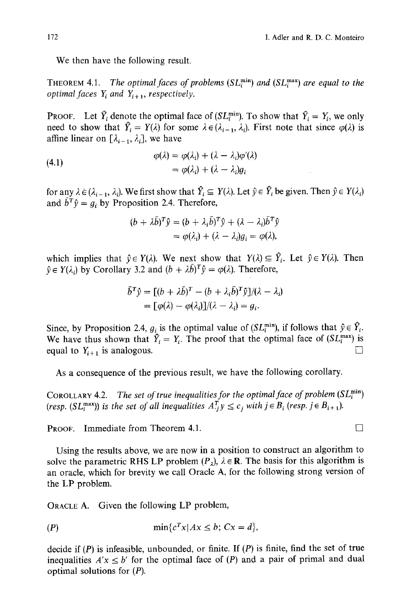We then have the following result.

THEOREM 4.1. *The optimal faces of problems*  $(SL_i^{\min})$  *and*  $(SL_i^{\max})$  *are equal to the optimal faces*  $Y_i$  *and*  $Y_{i+1}$ *, respectively.* 

Proof. Let  $Y_i$  denote the optimal face of  $(SL_i^{min})$ . To show that  $Y_i = Y_i$ , we only need to show that  $Y_i = Y(\lambda)$  for some  $\lambda \in (\lambda_{i-1}, \lambda_i)$ . First note that since  $\varphi(\lambda)$  is affine linear on  $[\lambda_{i-1}, \lambda_i]$ , we have

(4.1)  
\n
$$
\varphi(\lambda) = \varphi(\lambda_i) + (\lambda - \lambda_i)\varphi'(\lambda)
$$
\n
$$
= \varphi(\lambda_i) + (\lambda - \lambda_i)g_i
$$

for any  $\lambda \in (\lambda_{i-1}, \lambda_i)$ . We first show that  $\hat{Y}_i \subseteq Y(\lambda)$ . Let  $\hat{y} \in \hat{Y}_i$  be given. Then  $\hat{y} \in Y(\lambda_i)$ and  $\bar{b}^T \hat{y} = g_i$  by Proposition 2.4. Therefore,

$$
(b + \lambda \bar{b})^T \hat{y} = (b + \lambda_i \bar{b})^T \hat{y} + (\lambda - \lambda_i) \bar{b}^T \hat{y}
$$
  
=  $\varphi(\lambda_i) + (\lambda - \lambda_i)g_i = \varphi(\lambda),$ 

which implies that  $\hat{y} \in Y(\lambda)$ . We next show that  $Y(\lambda) \subseteq \hat{Y}_i$ . Let  $\hat{y} \in Y(\lambda)$ . Then  $\hat{v} \in Y(\lambda)$  by Corollary 3.2 and  $(b + \lambda \bar{b})^T \hat{v} = \varphi(\lambda)$ . Therefore,

$$
\bar{b}^T \hat{y} = [(b + \lambda \bar{b})^T - (b + \lambda_i \bar{b})^T \hat{y}]/(\lambda - \lambda_i)
$$
  
=  $[\varphi(\lambda) - \varphi(\lambda_i)]/(\lambda - \lambda_i) = g_i.$ 

Since, by Proposition 2.4,  $g_i$  is the optimal value of (SL<sup>min</sup>), if follows that  $\hat{y} \in Y_i$ . We have thus shown that  $Y_i = Y_i$ . The proof that the optimal face of  $(SL_i^{\max})$  is equal to  $Y_{i+1}$  is analogous.

As a consequence of the previous result, we have the following corollary.

COROLLARY 4.2. *The set of true inequalities for the optimal face of problem* (SL<sup>min</sup>) *(resp.*  $(SL_i^{\max})$ *) is the set of all inequalities*  $A_j^T y \le c_j$  with  $j \in B_i$  *(resp. j*  $\in B_{i+1}$ *).* 

PROOF. Immediate from Theorem 4.1.

Using the results above, we are now in a position to construct an algorithm to solve the parametric RHS LP problem  $(P_1)$ ,  $\lambda \in \mathbb{R}$ . The basis for this algorithm is an oracle, which for brevity we call Oracle A, for the following strong version of the LP problem.

ORACLE A. Given the following LP problem,

$$
(P) \qquad \qquad \min\{c^T x | Ax \leq b; Cx = d\},
$$

decide if  $(P)$  is infeasible, unbounded, or finite. If  $(P)$  is finite, find the set of true inequalities  $A'x \leq b'$  for the optimal face of  $(P)$  and a pair of primal and dual optimal solutions for  $(P)$ .

$$
\Box
$$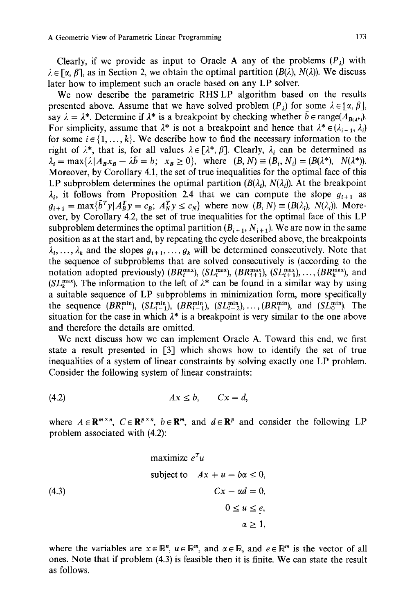Clearly, if we provide as input to Oracle A any of the problems  $(P_1)$  with  $\lambda \in [\alpha, \beta]$ , as in Section 2, we obtain the optimal partition ( $B(\lambda)$ ,  $N(\lambda)$ ). We discuss later how to implement such an oracle based on any LP solver.

We now describe the parametric RHS LP algorithm based on the results presented above. Assume that we have solved problem  $(P_i)$  for some  $\lambda \in [\alpha, \beta]$ , say  $\lambda = \lambda^*$ . Determine if  $\lambda^*$  is a breakpoint by checking whether  $\bar{b} \in \text{range}(A_{B(\lambda^*)})$ . For simplicity, assume that  $\lambda^*$  is not a breakpoint and hence that  $\lambda^* \in (\lambda_{i-1}, \lambda_i)$ for some  $i \in \{1, ..., k\}$ . We describe how to find the necessary information to the right of  $\lambda^*$ , that is, for all values  $\lambda \in [\lambda^*, \beta]$ . Clearly,  $\lambda_i$  can be determined as  $\lambda_i = \max\{\lambda | A_B x_B - \lambda \overline{b} = b; x_B \ge 0\}$ , where  $(B, N) = (B_i, N_i) = (B(\lambda^*), N(\lambda^*)).$ Moreover, by Corollary 4.1, the set of true inequalities for the optimal face of this LP subproblem determines the optimal partition  $(B(\lambda_i), N(\lambda_i))$ . At the breakpoint  $\lambda_i$ , it follows from Proposition 2.4 that we can compute the slope  $g_{i+1}$  as  $g_{i+1} = \max{\{\bar{b}^T y | A_B^T y = c_B; A_N^T y \le c_N\}}$  where now  $(B, N) = (B(\lambda_i), N(\lambda_i))$ . Moreover, by Corollary 4.2, the set of true inequalities for the optimal face of this LP subproblem determines the optimal partition  $(B_{i+1}, N_{i+1})$ . We are now in the same position as at the start and, by repeating the cycle described above, the breakpoints  $\lambda_i, \ldots, \lambda_k$  and the slopes  $g_{i+1}, \ldots, g_k$  will be determined consecutively. Note that the sequence of subproblems that are solved consecutively is (according to the notation adopted previously)  $(BR_i^{\max})$ ,  $(SL_i^{\max})$ ,  $(BR_{i+1}^{\max})$ ,  $(SL_{i+1}^{\max})$ , ...,  $(BR_k^{\max})$ , and (SL<sup>max</sup>). The information to the left of  $\lambda^*$  can be found in a similar way by using a suitable sequence of LP subproblems in minimization form, more specifically the sequence  $(BR_i^{\min})$ ,  $(SL_{i-1}^{\min})$ ,  $(BR_{i-1}^{\min})$ ,  $(SL_{i-2}^{\min})$ ,  $(SR_1^{\min})$ , and  $(SL_0^{\min})$ . The situation for the case in which  $\lambda^*$  is a breakpoint is very similar to the one above and therefore the details are omitted.

We next discuss how we can implement Oracle A. Toward this end, we first state a result presented in [3] which shows how to identify the set of true inequalities of a system of linear constraints by solving exactly one LP problem. Consider the following system of linear constraints:

$$
(4.2) \t\t Ax \leq b, \t Cx = d,
$$

where  $A \in \mathbb{R}^{m \times n}$ ,  $C \in \mathbb{R}^{p \times n}$ ,  $b \in \mathbb{R}^m$ , and  $d \in \mathbb{R}^p$  and consider the following LP problem associated with (4.2):

maximize 
$$
e^T u
$$
  
subject to  $Ax + u - b\alpha \le 0$ ,  
 $Cx - \alpha d = 0$ ,  
 $0 \le u \le e$ ,  
 $\alpha \ge 1$ ,

where the variables are  $x \in \mathbb{R}^n$ ,  $u \in \mathbb{R}^m$ , and  $\alpha \in \mathbb{R}$ , and  $e \in \mathbb{R}^m$  is the vector of all ones. Note that if problem (4.3) is feasible then it is finite. We can state the result as follows.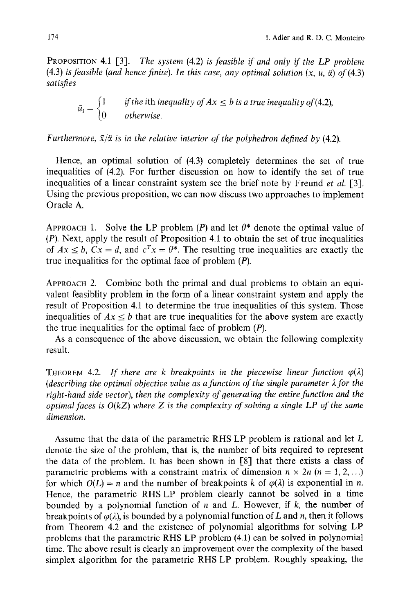PROPOSITION 4.1 [3]. *The system* (4.2) *is feasible if and only if the LP problem*  (4.3) *is feasible (and hence finite). In this case, any optimal solution*  $(\bar{x}, \bar{u}, \bar{\alpha})$  of (4.3) *satisfies* 

$$
\bar{u}_i = \begin{cases} 1 & \text{if the ith inequality of } Ax \le b \text{ is a true inequality of (4.2),} \\ 0 & \text{otherwise.} \end{cases}
$$

*Furthermore,*  $\bar{x}/\bar{\alpha}$  *is in the relative interior of the polyhedron defined by (4.2).* 

Hence, an optimal solution of (4.3) completely determines the set of true inequalities of (4.2). For further discussion on how to identify the set of true inequalities of a linear constraint system see the brief note by Freund *et al.* [3]. Using the previous proposition, we can now discuss two approaches to implement Oracle A.

APPROACH 1. Solve the LP problem (P) and let  $\theta^*$  denote the optimal value of (P). Next, apply the result of Proposition 4.1 to obtain the set of true inequalities of  $Ax \leq b$ ,  $Cx = d$ , and  $c^Tx = \theta^*$ . The resulting true inequalities are exactly the true inequalities for the optimal face of problem (P).

APPROACH 2. Combine both the primal and dual problems to obtain an equivalent feasiblity problem in the form of a linear constraint system and apply the result of Proposition 4.1 to determine the true inequalities of this system. Those inequalities of  $Ax \leq b$  that are true inequalities for the above system are exactly the true inequalities for the optimal face of problem (P).

As a consequence of the above discussion, we obtain the following complexity result.

THEOREM 4.2. If there are k breakpoints in the piecewise linear function  $\varphi(\lambda)$ *(describing the optimal objective value as a function of the single parameter*  $\lambda$  *for the right-hand side vector), then the complexity of generating the entire function and the optimal faces is O(kZ) where Z is the complexity of solving a single LP of the same dimension.* 

Assume that the data of the parametric RHS LP problem is rational and let L denote the size of the problem, that is, the number of bits required to represent the data of the problem. It has been shown in [8] that there exists a class of parametric problems with a constraint matrix of dimension  $n \times 2n$  ( $n = 1, 2, ...$ ) for which  $O(L) = n$  and the number of breakpoints k of  $\varphi(\lambda)$  is exponential in n. Hence, the parametric RHS LP problem clearly cannot be solved in a time bounded by a polynomial function of  $n$  and  $L$ . However, if  $k$ , the number of breakpoints of  $\varphi(\lambda)$ , is bounded by a polynomial function of L and n, then it follows from Theorem 4.2 and the existence of polynomial algorithms for solving LP problems that the parametric RHS LP problem (4.1) can be solved in polynomial time. The above result is clearly an improvement over the complexity of the based simplex algorithm for the parametric RHS LP problem. Roughly speaking, the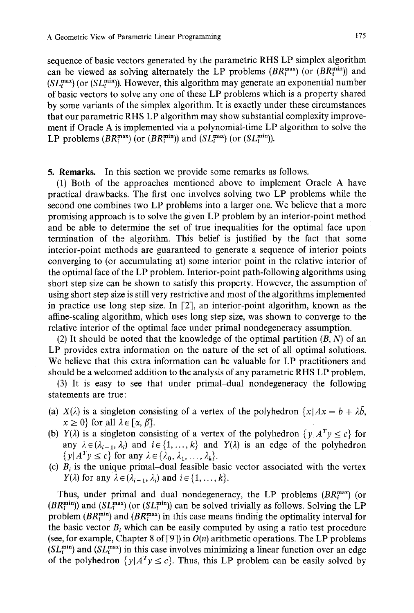sequence of basic vectors generated by the parametric RHS LP simplex algorithm can be viewed as solving alternately the LP problems  $(BR_i^{\max})$  (or  $(BR_i^{\min})$ ) and  $(SL_i^{\text{max}})$  (or  $(SL_i^{\text{min}})$ ). However, this algorithm may generate an exponential number of basic vectors to solve any one of these LP problems which is a property shared by some variants of the simplex algorithm. It is exactly under these circumstances that our parametric RHS LP algorithm may show substantial complexity improvement if Oracle A is implemented via a polynomial-time LP algorithm to solve the LP problems  $(BR_i^{\max})$  (or  $(BR_i^{\min})$ ) and  $(SL_i^{\max})$  (or  $(SL_i^{\min})$ ).

5. Remarks. In this section we provide some remarks as follows.

(1) Both of the approaches mentioned above to implement Oracle A have practical drawbacks. The first one involves solving two LP problems while the second one combines two LP problems into a larger one. We believe that a more promising approach is to solve the given LP problem by an interior-point method and be able to determine the set of true inequalities for the optimal face upon termination of the algorithm. This belief is justified by the fact that some interior-point methods are guaranteed to generate a sequence of interior points converging to (or accumulating at) some interior point in the relative interior of the optimal face of the LP problem. Interior-point path-following algorithms using short step size can be shown to satisfy this property. However, the assumption of using short step size is still very restrictive and most of the algorithms implemented in practice use long step size. In  $[2]$ , an interior-point algorithm, known as the affine-scaling algorithm, which uses long step size, was shown to converge to the relative interior of the optimal face under primal nondegeneracy assumption.

(2) It should be noted that the knowledge of the optimal partition  $(B, N)$  of an LP provides extra information on the nature of the set of all optimal solutions. We believe that this extra information can be valuable for LP practitioners and should be a welcomed addition to the analysis of any parametric RHS LP problem.

(3) It is easy to see that under primal-dual nondegeneracy the following statements are true:

- (a)  $X(\lambda)$  is a singleton consisting of a vertex of the polyhedron  $\{x | Ax = b + \lambda b,$  $x \geq 0$  for all  $\lambda \in [\alpha, \beta]$ .
- (b)  $Y(\lambda)$  is a singleton consisting of a vertex of the polyhedron  $\{y | A^T y \le c\}$  for any  $\lambda \in (\lambda_{i-1}, \lambda_i)$  and  $i \in \{1, ..., k\}$  and  $Y(\lambda)$  is an edge of the polyhedron  $\{y | A^T y \leq c\}$  for any  $\lambda \in \{\lambda_0, \lambda_1, \ldots, \lambda_k\}.$
- (c)  $B_i$  is the unique primal-dual feasible basic vector associated with the vertex  $Y(\lambda)$  for any  $\lambda \in (\lambda_{i-1}, \lambda_i)$  and  $i \in \{1, ..., k\}.$

Thus, under primal and dual nondegeneracy, the LP problems *(BR<sup>max</sup>) (or*  $(BR_i^{\min})$  and  $(SL_i^{\max})$  (or  $(SL_i^{\min})$ ) can be solved trivially as follows. Solving the LP problem  $(BR_i^{\text{min}})$  and  $(BR_i^{\text{max}})$  in this case means finding the optimality interval for the basic vector  $B_i$  which can be easily computed by using a ratio test procedure (see, for example, Chapter 8 of [9]) in *O(n)* arithmetic operations. The LP problems  $(SL_i^{\min})$  and  $(SL_i^{\max})$  in this case involves minimizing a linear function over an edge of the polyhedron  $\{y|A^T y \le c\}$ . Thus, this LP problem can be easily solved by